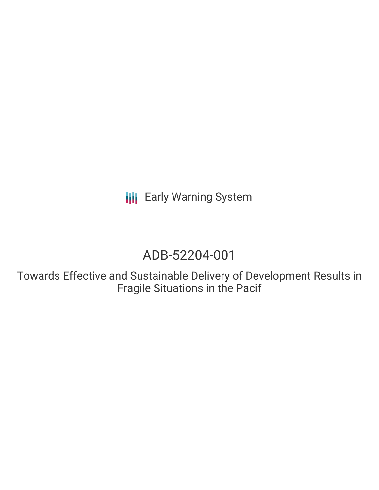**III** Early Warning System

# ADB-52204-001

Towards Effective and Sustainable Delivery of Development Results in Fragile Situations in the Pacif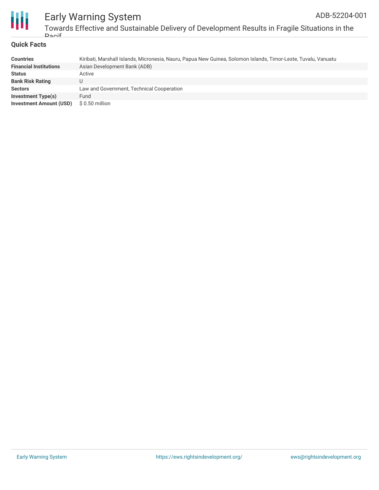



# Early Warning System Towards Effective and Sustainable Delivery of Development Results in Fragile Situations in the Pacif

#### **Quick Facts**

| <b>Countries</b>               | Kiribati, Marshall Islands, Micronesia, Nauru, Papua New Guinea, Solomon Islands, Timor-Leste, Tuvalu, Vanuatu |
|--------------------------------|----------------------------------------------------------------------------------------------------------------|
| <b>Financial Institutions</b>  | Asian Development Bank (ADB)                                                                                   |
| <b>Status</b>                  | Active                                                                                                         |
| <b>Bank Risk Rating</b>        |                                                                                                                |
| <b>Sectors</b>                 | Law and Government, Technical Cooperation                                                                      |
| <b>Investment Type(s)</b>      | Fund                                                                                                           |
| <b>Investment Amount (USD)</b> | $$0.50$ million                                                                                                |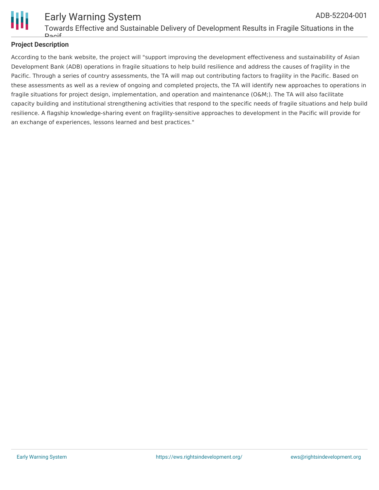

#### Early Warning System Towards Effective and Sustainable Delivery of Development Results in Fragile Situations in the Pacif ADB-52204-001

# **Project Description**

According to the bank website, the project will "support improving the development effectiveness and sustainability of Asian Development Bank (ADB) operations in fragile situations to help build resilience and address the causes of fragility in the Pacific. Through a series of country assessments, the TA will map out contributing factors to fragility in the Pacific. Based on these assessments as well as a review of ongoing and completed projects, the TA will identify new approaches to operations in fragile situations for project design, implementation, and operation and maintenance (O&M;). The TA will also facilitate capacity building and institutional strengthening activities that respond to the specific needs of fragile situations and help build resilience. A flagship knowledge-sharing event on fragility-sensitive approaches to development in the Pacific will provide for an exchange of experiences, lessons learned and best practices."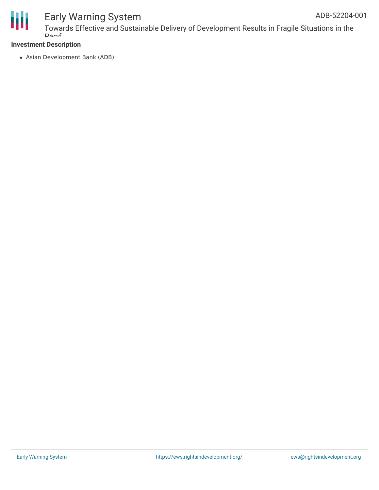

# Early Warning System

## **Investment Description**

Asian Development Bank (ADB)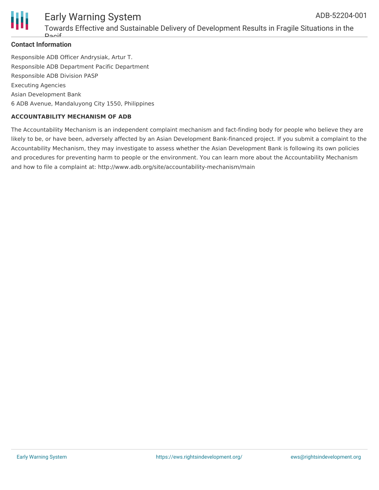

#### Early Warning System Towards Effective and Sustainable Delivery of Development Results in Fragile Situations in the ADB-52204-001

### **Contact Information**

Pacif

Responsible ADB Officer Andrysiak, Artur T. Responsible ADB Department Pacific Department Responsible ADB Division PASP Executing Agencies Asian Development Bank 6 ADB Avenue, Mandaluyong City 1550, Philippines

### **ACCOUNTABILITY MECHANISM OF ADB**

The Accountability Mechanism is an independent complaint mechanism and fact-finding body for people who believe they are likely to be, or have been, adversely affected by an Asian Development Bank-financed project. If you submit a complaint to the Accountability Mechanism, they may investigate to assess whether the Asian Development Bank is following its own policies and procedures for preventing harm to people or the environment. You can learn more about the Accountability Mechanism and how to file a complaint at: http://www.adb.org/site/accountability-mechanism/main